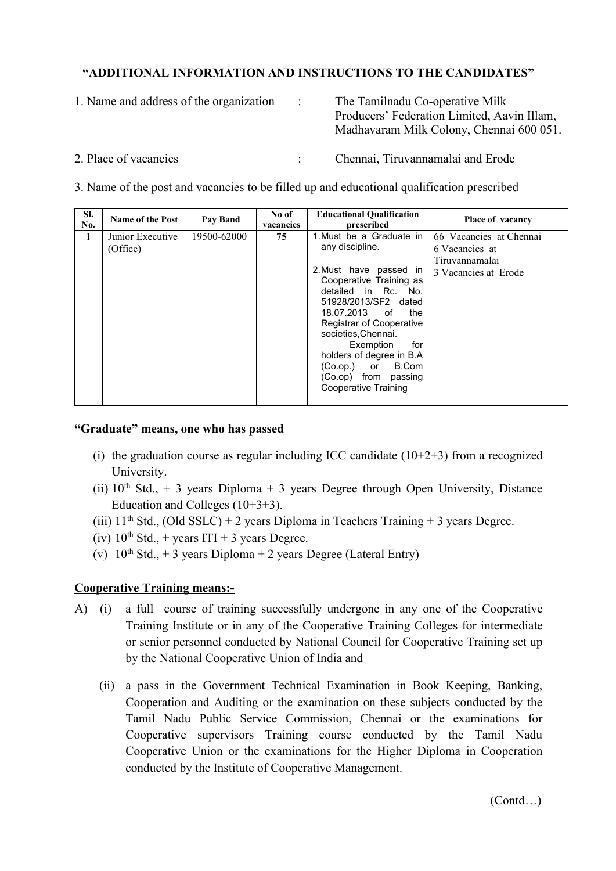## **"ADDITIONAL INFORMATION AND INSTRUCTIONS TO THE CANDIDATES"**

1. Name and address of the organization : The Tamilnadu Co-operative Milk

Producers' Federation Limited, Aavin Illam, Madhavaram Milk Colony, Chennai 600 051.

- 
- 2. Place of vacancies : Chennai, Tiruvannamalai and Erode

3. Name of the post and vacancies to be filled up and educational qualification prescribed

| SI.<br>No. | <b>Name of the Post</b>      | Pay Band    | No of<br>vacancies | <b>Educational Qualification</b><br>prescribed                                                                                                                                                                                                                                                                                                                         | Place of vacancy                                                                    |
|------------|------------------------------|-------------|--------------------|------------------------------------------------------------------------------------------------------------------------------------------------------------------------------------------------------------------------------------------------------------------------------------------------------------------------------------------------------------------------|-------------------------------------------------------------------------------------|
|            | Junior Executive<br>(Office) | 19500-62000 | 75                 | 1. Must be a Graduate in<br>any discipline.<br>2. Must have passed in<br>Cooperative Training as<br>detailed in Rc. No.<br>51928/2013/SF2 dated<br>18.07.2013<br>the<br>of<br><b>Registrar of Cooperative</b><br>societies, Chennai.<br>for<br>Exemption<br>holders of degree in B.A.<br>B.Com<br>$(Co_op.)$ or<br>(Co.op) from passing<br><b>Cooperative Training</b> | 66 Vacancies at Chennai<br>6 Vacancies at<br>Tiruvannamalai<br>3 Vacancies at Erode |

## **"Graduate" means, one who has passed**

- (i) the graduation course as regular including ICC candidate  $(10+2+3)$  from a recognized University.
- (ii)  $10<sup>th</sup>$  Std., + 3 years Diploma + 3 years Degree through Open University, Distance Education and Colleges (10+3+3).
- (iii)  $11<sup>th</sup>$  Std., (Old SSLC) + 2 years Diploma in Teachers Training + 3 years Degree.
- $(iv)$  10<sup>th</sup> Std., + years ITI + 3 years Degree.
- (v)  $10^{th}$  Std., + 3 years Diploma + 2 years Degree (Lateral Entry)

## **Cooperative Training means:-**

- A) (i) a full course of training successfully undergone in any one of the Cooperative Training Institute or in any of the Cooperative Training Colleges for intermediate or senior personnel conducted by National Council for Cooperative Training set up by the National Cooperative Union of India and
	- (ii) a pass in the Government Technical Examination in Book Keeping, Banking, Cooperation and Auditing or the examination on these subjects conducted by the Tamil Nadu Public Service Commission, Chennai or the examinations for Cooperative supervisors Training course conducted by the Tamil Nadu Cooperative Union or the examinations for the Higher Diploma in Cooperation conducted by the Institute of Cooperative Management.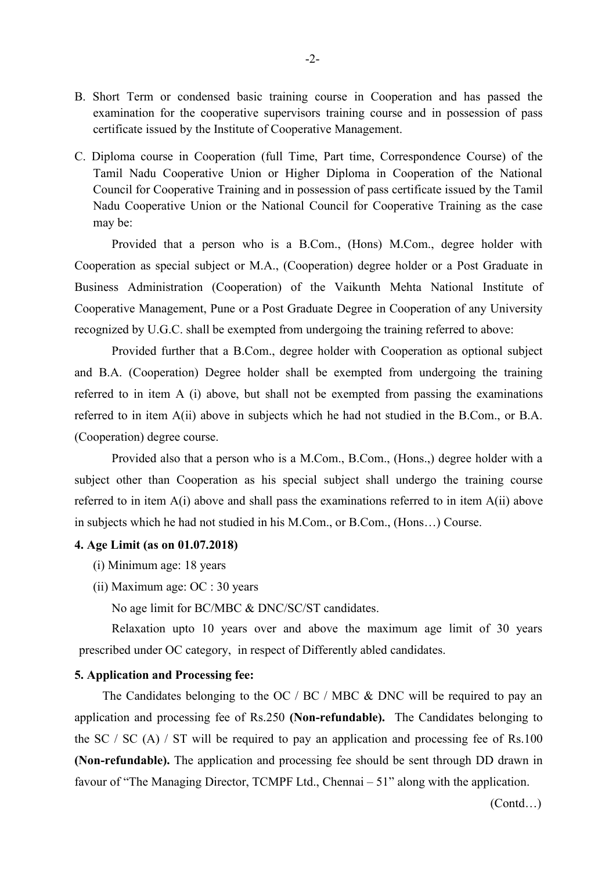- B. Short Term or condensed basic training course in Cooperation and has passed the examination for the cooperative supervisors training course and in possession of pass certificate issued by the Institute of Cooperative Management.
- C. Diploma course in Cooperation (full Time, Part time, Correspondence Course) of the Tamil Nadu Cooperative Union or Higher Diploma in Cooperation of the National Council for Cooperative Training and in possession of pass certificate issued by the Tamil Nadu Cooperative Union or the National Council for Cooperative Training as the case may be:

Provided that a person who is a B.Com., (Hons) M.Com., degree holder with Cooperation as special subject or M.A., (Cooperation) degree holder or a Post Graduate in Business Administration (Cooperation) of the Vaikunth Mehta National Institute of Cooperative Management, Pune or a Post Graduate Degree in Cooperation of any University recognized by U.G.C. shall be exempted from undergoing the training referred to above:

Provided further that a B.Com., degree holder with Cooperation as optional subject and B.A. (Cooperation) Degree holder shall be exempted from undergoing the training referred to in item  $A$  (i) above, but shall not be exempted from passing the examinations referred to in item A(ii) above in subjects which he had not studied in the B.Com., or B.A. (Cooperation) degree course.

Provided also that a person who is a M.Com., B.Com., (Hons.,) degree holder with a subject other than Cooperation as his special subject shall undergo the training course referred to in item A(i) above and shall pass the examinations referred to in item A(ii) above in subjects which he had not studied in his M.Com., or B.Com., (Hons...) Course.

#### **4. Age Limit (as on 01.07.2018)**

- (i) Minimum age: 18 years
- (ii) Maximum age: OC : 30 years

No age limit for BC/MBC & DNC/SC/ST candidates.

Relaxation upto 10 years over and above the maximum age limit of 30 years prescribed under OC category, in respect of Differently abled candidates.

#### **5. Application and Processing fee:**

The Candidates belonging to the OC / BC / MBC & DNC will be required to pay an application and processing fee of Rs.250 **(Non-refundable).** The Candidates belonging to the SC / SC (A) / ST will be required to pay an application and processing fee of Rs.100 **(Non-refundable).** The application and processing fee should be sent through DD drawn in favour of "The Managing Director, TCMPF Ltd., Chennai – 51" along with the application.

(Contd…)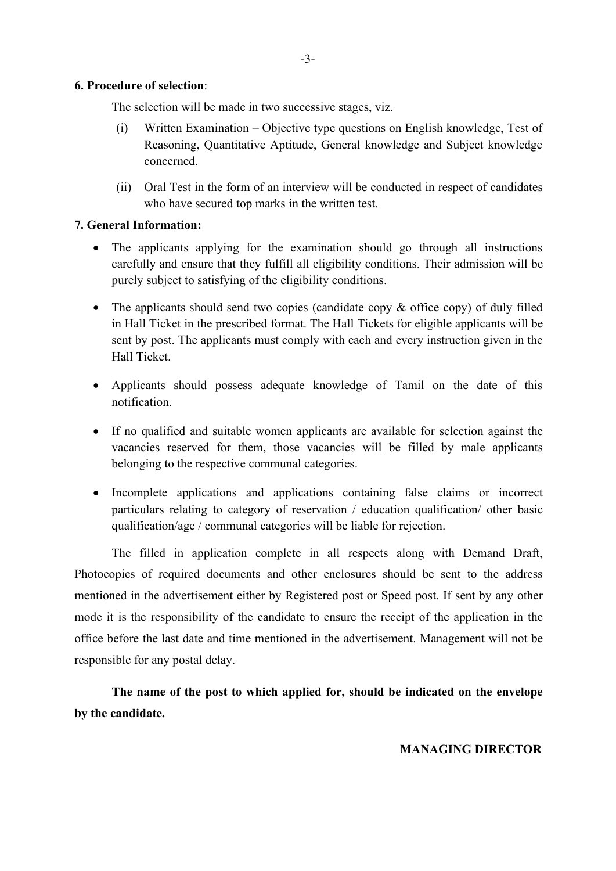#### **6. Procedure of selection**:

The selection will be made in two successive stages, viz.

- (i) Written Examination Objective type questions on English knowledge, Test of Reasoning, Quantitative Aptitude, General knowledge and Subject knowledge concerned.
- (ii) Oral Test in the form of an interview will be conducted in respect of candidates who have secured top marks in the written test.

### **7. General Information:**

- The applicants applying for the examination should go through all instructions carefully and ensure that they fulfill all eligibility conditions.Their admission will be purely subject to satisfying of the eligibility conditions.
- The applicants should send two copies (candidate copy & office copy) of duly filled in Hall Ticket in the prescribed format. The Hall Tickets for eligible applicants will be sent by post. The applicants must comply with each and every instruction given in the Hall Ticket.
- Applicants should possess adequate knowledge of Tamil on the date of this notification.
- If no qualified and suitable women applicants are available for selection against the vacancies reserved for them, those vacancies will be filled by male applicants belonging to the respective communal categories.
- Incomplete applications and applications containing false claims or incorrect particulars relating to category of reservation / education qualification/ other basic qualification/age / communal categories will be liable for rejection.

The filled in application complete in all respects along with Demand Draft, Photocopies of required documents and other enclosures should be sent to the address mentioned in the advertisement either by Registered post or Speed post. If sent by any other mode it is the responsibility of the candidate to ensure the receipt of the application in the office before the last date and time mentioned in the advertisement. Management will not be responsible for any postal delay.

**The name of the post to which applied for, should be indicated on the envelope by the candidate.**

### **MANAGING DIRECTOR**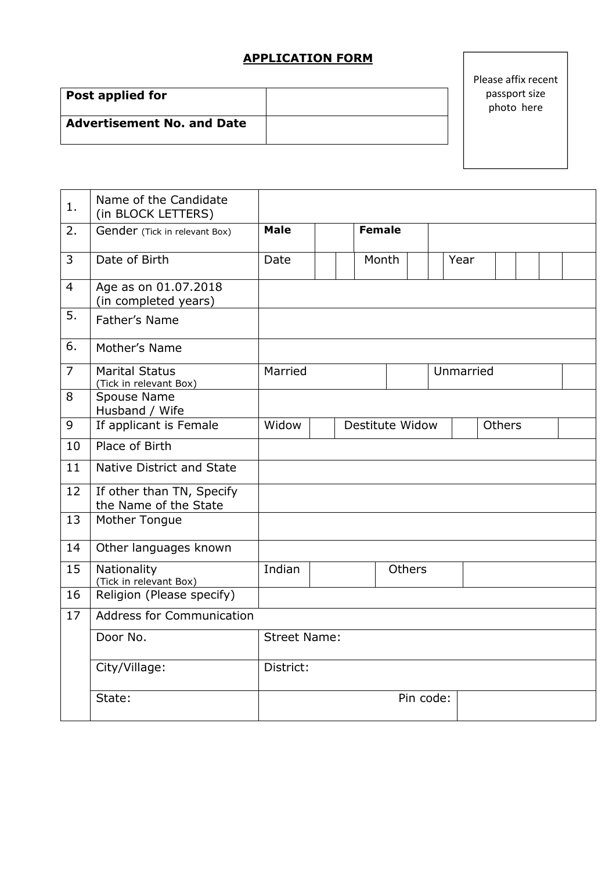# **APPLICATION FORM**

| Post applied for                  |  |
|-----------------------------------|--|
| <b>Advertisement No. and Date</b> |  |

## Please affix recent passport size photo here

| 1.             | Name of the Candidate<br>(in BLOCK LETTERS)        |                     |               |                 |           |           |               |  |  |
|----------------|----------------------------------------------------|---------------------|---------------|-----------------|-----------|-----------|---------------|--|--|
| 2.             | Gender (Tick in relevant Box)                      | <b>Male</b>         | <b>Female</b> |                 |           |           |               |  |  |
| 3              | Date of Birth                                      | Date                |               | Month           |           | Year      |               |  |  |
| $\overline{4}$ | Age as on 01.07.2018<br>(in completed years)       |                     |               |                 |           |           |               |  |  |
| 5.             | Father's Name                                      |                     |               |                 |           |           |               |  |  |
| 6.             | Mother's Name                                      |                     |               |                 |           |           |               |  |  |
| $\overline{7}$ | <b>Marital Status</b><br>(Tick in relevant Box)    | Married             |               |                 |           | Unmarried |               |  |  |
| 8              | Spouse Name<br>Husband / Wife                      |                     |               |                 |           |           |               |  |  |
| 9              | If applicant is Female                             | Widow               |               | Destitute Widow |           |           | <b>Others</b> |  |  |
| 10             | Place of Birth                                     |                     |               |                 |           |           |               |  |  |
| 11             | Native District and State                          |                     |               |                 |           |           |               |  |  |
| 12             | If other than TN, Specify<br>the Name of the State |                     |               |                 |           |           |               |  |  |
| 13             | Mother Tongue                                      |                     |               |                 |           |           |               |  |  |
| 14             | Other languages known                              |                     |               |                 |           |           |               |  |  |
| 15             | Nationality<br>(Tick in relevant Box)              | Indian              |               | <b>Others</b>   |           |           |               |  |  |
| 16             | Religion (Please specify)                          |                     |               |                 |           |           |               |  |  |
| 17             | <b>Address for Communication</b>                   |                     |               |                 |           |           |               |  |  |
|                | Door No.                                           | <b>Street Name:</b> |               |                 |           |           |               |  |  |
|                | City/Village:                                      | District:           |               |                 |           |           |               |  |  |
|                | State:                                             |                     |               |                 | Pin code: |           |               |  |  |
|                |                                                    |                     |               |                 |           |           |               |  |  |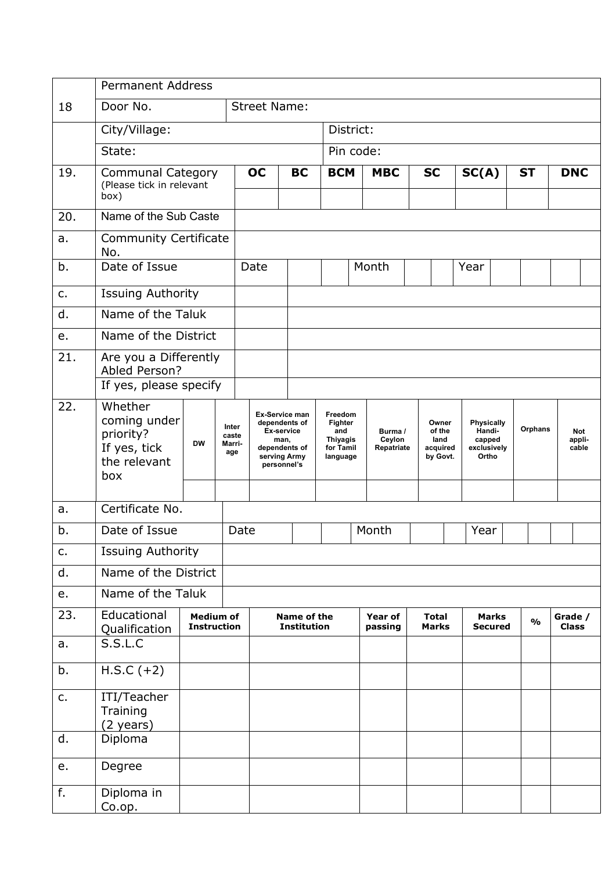|     | <b>Permanent Address</b>                                                    |                                        |                                 |                                                                                                       |                                          |                                                                       |                                 |                                                 |  |                                                               |  |                         |  |                         |
|-----|-----------------------------------------------------------------------------|----------------------------------------|---------------------------------|-------------------------------------------------------------------------------------------------------|------------------------------------------|-----------------------------------------------------------------------|---------------------------------|-------------------------------------------------|--|---------------------------------------------------------------|--|-------------------------|--|-------------------------|
| 18  | Door No.                                                                    | <b>Street Name:</b>                    |                                 |                                                                                                       |                                          |                                                                       |                                 |                                                 |  |                                                               |  |                         |  |                         |
|     | City/Village:                                                               |                                        |                                 |                                                                                                       | District:                                |                                                                       |                                 |                                                 |  |                                                               |  |                         |  |                         |
|     | State:                                                                      |                                        |                                 |                                                                                                       |                                          |                                                                       | Pin code:                       |                                                 |  |                                                               |  |                         |  |                         |
| 19. | <b>Communal Category</b><br>(Please tick in relevant<br>box)                |                                        |                                 | <b>OC</b>                                                                                             | <b>BC</b>                                | <b>BCM</b>                                                            | <b>MBC</b>                      | <b>SC</b>                                       |  | SC(A)                                                         |  | <b>ST</b>               |  | <b>DNC</b>              |
| 20. | Name of the Sub Caste                                                       |                                        |                                 |                                                                                                       |                                          |                                                                       |                                 |                                                 |  |                                                               |  |                         |  |                         |
| a.  | <b>Community Certificate</b><br>No.                                         |                                        |                                 |                                                                                                       |                                          |                                                                       |                                 |                                                 |  |                                                               |  |                         |  |                         |
| b.  | Date of Issue                                                               |                                        |                                 | Date                                                                                                  |                                          |                                                                       | Month                           |                                                 |  | Year                                                          |  |                         |  |                         |
| c.  | <b>Issuing Authority</b>                                                    |                                        |                                 |                                                                                                       |                                          |                                                                       |                                 |                                                 |  |                                                               |  |                         |  |                         |
| d.  | Name of the Taluk                                                           |                                        |                                 |                                                                                                       |                                          |                                                                       |                                 |                                                 |  |                                                               |  |                         |  |                         |
| e.  | Name of the District                                                        |                                        |                                 |                                                                                                       |                                          |                                                                       |                                 |                                                 |  |                                                               |  |                         |  |                         |
| 21. | Are you a Differently<br>Abled Person?<br>If yes, please specify            |                                        |                                 |                                                                                                       |                                          |                                                                       |                                 |                                                 |  |                                                               |  |                         |  |                         |
| 22. | Whether<br>coming under<br>priority?<br>If yes, tick<br>the relevant<br>box | <b>DW</b>                              | Inter<br>caste<br>Marri-<br>age | Ex-Service man<br>dependents of<br>Ex-service<br>man,<br>dependents of<br>serving Army<br>personnel's |                                          | Freedom<br>Fighter<br>and<br><b>Thiyagis</b><br>for Tamil<br>language | Burma /<br>Ceylon<br>Repatriate | Owner<br>of the<br>land<br>acquired<br>by Govt. |  | <b>Physically</b><br>Handi-<br>capped<br>exclusively<br>Ortho |  | Orphans                 |  | Not<br>appli-<br>cable  |
| a.  | Certificate No.                                                             |                                        |                                 |                                                                                                       |                                          |                                                                       |                                 |                                                 |  |                                                               |  |                         |  |                         |
| b.  | Date of Issue                                                               |                                        |                                 | Date                                                                                                  |                                          |                                                                       | Month                           |                                                 |  | Year                                                          |  |                         |  |                         |
| c.  | <b>Issuing Authority</b>                                                    |                                        |                                 |                                                                                                       |                                          |                                                                       |                                 |                                                 |  |                                                               |  |                         |  |                         |
| d.  | Name of the District                                                        |                                        |                                 |                                                                                                       |                                          |                                                                       |                                 |                                                 |  |                                                               |  |                         |  |                         |
| e.  | Name of the Taluk                                                           |                                        |                                 |                                                                                                       |                                          |                                                                       |                                 |                                                 |  |                                                               |  |                         |  |                         |
| 23. | Educational<br>Qualification                                                | <b>Medium of</b><br><b>Instruction</b> |                                 |                                                                                                       | <b>Name of the</b><br><b>Institution</b> |                                                                       | Year of<br>passing              | <b>Total</b><br><b>Marks</b>                    |  | <b>Marks</b><br><b>Secured</b>                                |  | $\mathbf{O}/\mathbf{O}$ |  | Grade /<br><b>Class</b> |
| a.  | S.S.L.C                                                                     |                                        |                                 |                                                                                                       |                                          |                                                                       |                                 |                                                 |  |                                                               |  |                         |  |                         |
| b.  | $H.S.C (+2)$                                                                |                                        |                                 |                                                                                                       |                                          |                                                                       |                                 |                                                 |  |                                                               |  |                         |  |                         |
| c.  | ITI/Teacher<br>Training<br>$(2 \text{ years})$                              |                                        |                                 |                                                                                                       |                                          |                                                                       |                                 |                                                 |  |                                                               |  |                         |  |                         |
| d.  | Diploma                                                                     |                                        |                                 |                                                                                                       |                                          |                                                                       |                                 |                                                 |  |                                                               |  |                         |  |                         |
| e.  | Degree                                                                      |                                        |                                 |                                                                                                       |                                          |                                                                       |                                 |                                                 |  |                                                               |  |                         |  |                         |
| f.  | Diploma in<br>Co.op.                                                        |                                        |                                 |                                                                                                       |                                          |                                                                       |                                 |                                                 |  |                                                               |  |                         |  |                         |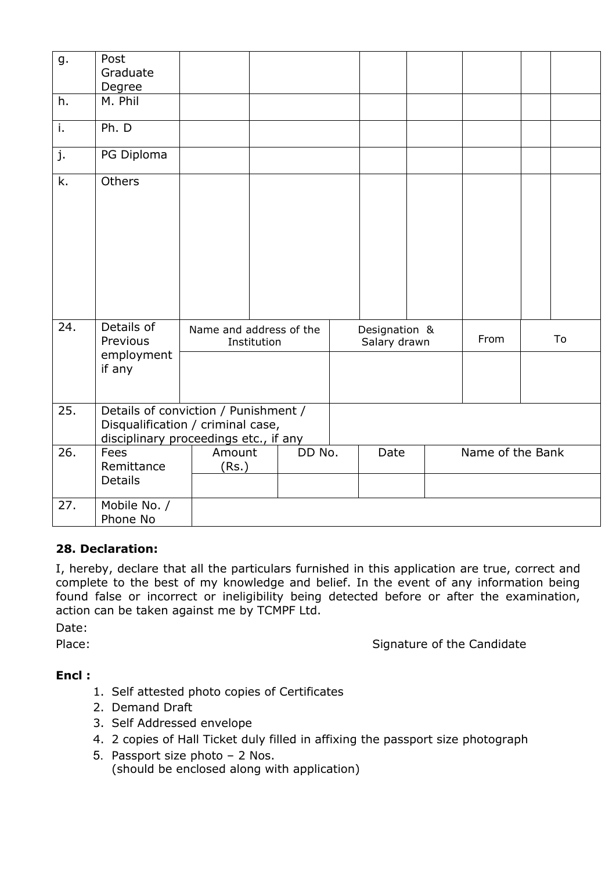| g.                        | Post<br>Graduate                               |                                                                                                                    |        |                               |                  |    |
|---------------------------|------------------------------------------------|--------------------------------------------------------------------------------------------------------------------|--------|-------------------------------|------------------|----|
| h.                        | Degree<br>M. Phil                              |                                                                                                                    |        |                               |                  |    |
| $\overline{\mathbf{i}}$ . | Ph. D                                          |                                                                                                                    |        |                               |                  |    |
| j.                        | PG Diploma                                     |                                                                                                                    |        |                               |                  |    |
| $\overline{k}$ .          | Others                                         |                                                                                                                    |        |                               |                  |    |
| 24.                       | Details of<br>Previous<br>employment<br>if any | Name and address of the<br>Institution                                                                             |        | Designation &<br>Salary drawn | From             | To |
| 25.                       |                                                | Details of conviction / Punishment /<br>Disqualification / criminal case,<br>disciplinary proceedings etc., if any |        |                               |                  |    |
| $\overline{26}$ .         | Fees<br>Remittance<br><b>Details</b>           | Amount<br>(Rs.)                                                                                                    | DD No. | Date                          | Name of the Bank |    |
| 27.                       | Mobile No. /<br>Phone No                       |                                                                                                                    |        |                               |                  |    |

## **28. Declaration:**

I, hereby, declare that all the particulars furnished in this application are true, correct and complete to the best of my knowledge and belief. In the event of any information being found false or incorrect or ineligibility being detected before or after the examination, action can be taken against me by TCMPF Ltd.

Date:

Place: Signature of the Candidate

## **Encl :**

- 1. Self attested photo copies of Certificates
- 2. Demand Draft
- 3. Self Addressed envelope
- 4. 2 copies of Hall Ticket duly filled in affixing the passport size photograph
- 5. Passport size photo 2 Nos. (should be enclosed along with application)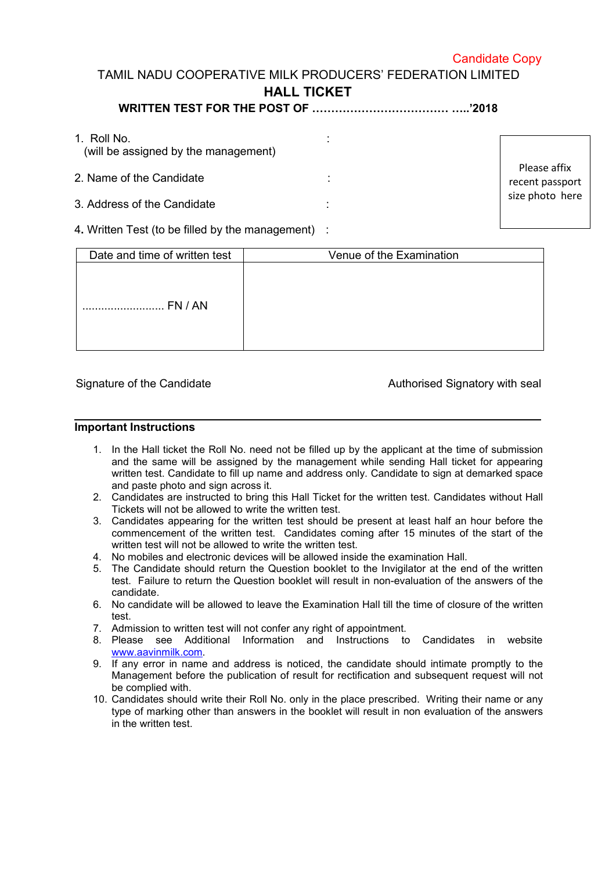### Candidate Copy

# TAMIL NADU COOPERATIVE MILK PRODUCERS' FEDERATION LIMITED **HALL TICKET**

## **WRITTEN TEST FOR THE POST OF ……………………………… …..'2018**

| 1. Roll No.<br>(will be assigned by the management)                      |                                 |
|--------------------------------------------------------------------------|---------------------------------|
| 2. Name of the Candidate                                                 | Please affix<br>recent passport |
| 3. Address of the Candidate                                              | size photo here                 |
| $\Lambda$ $(M/\mu)$ it are $T$ and $\mu$ is a filler developed and $\mu$ |                                 |

4**.** Written Test (to be filled by the management) :

| Date and time of written test | Venue of the Examination |
|-------------------------------|--------------------------|
| FN / AN<br>                   |                          |

Signature of the Candidate **Authorised Signatory with seal** 

#### **Important Instructions**

- 1. In the Hall ticket the Roll No. need not be filled up by the applicant at the time of submission and the same will be assigned by the management while sending Hall ticket for appearing written test. Candidate to fill up name and address only. Candidate to sign at demarked space and paste photo and sign across it.
- 2. Candidates are instructed to bring this Hall Ticket for the written test. Candidates without Hall Tickets will not be allowed to write the written test.
- 3. Candidates appearing for the written test should be present at least half an hour before the commencement of the written test. Candidates coming after 15 minutes of the start of the written test will not be allowed to write the written test.
- 4. No mobiles and electronic devices will be allowed inside the examination Hall.
- 5. The Candidate should return the Question booklet to the Invigilator at the end of the written test. Failure to return the Question booklet will result in non-evaluation of the answers of the candidate.
- 6. No candidate will be allowed to leave the Examination Hall till the time of closure of the written test.
- 7. Admission to written test will not confer any right of appointment.
- 8. Please see Additional Information and Instructions to Candidates in website [www.aavinmilk.com.](http://www.aavinmilk.com)
- 9. If any error in name and address is noticed, the candidate should intimate promptly to the Management before the publication of result for rectification and subsequent request will not be complied with.
- 10. Candidates should write their Roll No. only in the place prescribed.Writing their name or any type of marking other than answers in the booklet will result in non evaluation of the answers in the written test.